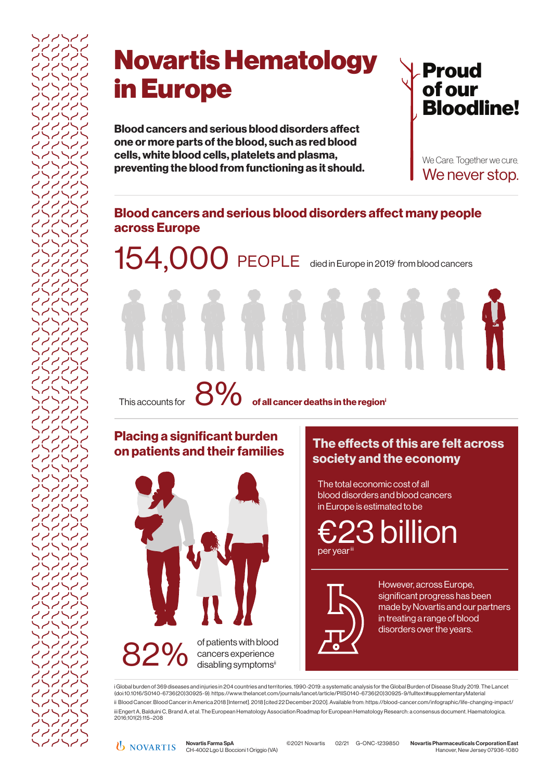# Novartis Hematology in Europe

**Blood cancers and serious blood disorders affect one or more parts of the blood, such as red blood cells, white blood cells, platelets and plasma, preventing the blood from functioning as it should.**



We Care. Together we cure. We never stop.

## **Blood cancers and serious blood disorders affect many people across Europe**

154,000 PEOPLE died in Europe in 2019<sup>i</sup> from blood cancers

This accounts for **of all cancer deaths in the regioni** 8%

## **Placing a significant burden on patients and their families**



**The effects of this are felt across society and the economy**

The total economic cost of all blood disorders and blood cancers in Europe is estimated to be

23 billion per year

However, across Europe, significant progress has been made by Novartis and our partners in treating a range of blood disorders over the years.

i Global burden of 369 diseases and injuries in 204 countries and territories, 1990-2019: a systematic analysis for the Global Burden of Disease Study 2019. The Lancet (doi:10.1016/S0140-6736(20)30925-9). https://www.thelancet.com/journals/lancet/article/PIIS0140-6736(20)30925-9/fulltext#supplementaryMaterial ii Blood Cancer. Blood Cancer in America 2018 [Internet]. 2018 [cited 22 December 2020]. Available from: https://blood-cancer.com/infographic/life-changing-impact/ iii Engert A, Balduini C, Brand A, et al. The European Hematology Association Roadmap for European Hematology Research: a consensus document. Haematologica. 2016;101(2):115–208